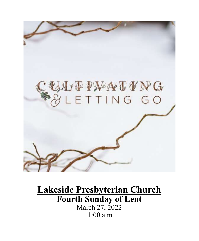

# **Lakeside Presbyterian Church Fourth Sunday of Lent** March 27, 2022 11:00 a.m.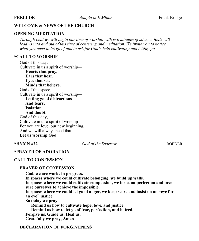#### **WELCOME & NEWS OF THE CHURCH**

#### **OPENING MEDITATION**

*Through Lent we will begin our time of worship with two minutes of silence. Bells will lead us into and out of this time of centering and meditation. We invite you to notice what you need to let go of and to ask for God's help cultivating and letting go.*

#### **\*CALL TO WORSHIP**

God of this day, Cultivate in us a spirit of worship— **Hearts that pray, Ears that hear, Eyes that see, Minds that believe.** God of this space, Cultivate in us a spirit of worship— **Letting go of distractions And fears, Isolation And doubt.** God of this day, Cultivate in us a spirit of worship— For you are love, our new beginning, And we will always need that. **Let us worship God.**

**\*HYMN #22** *God of the Sparrow* ROEDER

#### **\*PRAYER OF ADORATION**

#### **CALL TO CONFESSION**

#### **PRAYER OF CONFESSION**

**God, we are works in progress. In spaces where we could cultivate belonging, we build up walls. In spaces where we could cultivate compassion, we insist on perfection and pressure ourselves to achieve the impossible. In spaces where we could let go of anger, we keep score and insist on an "eye for an eye" justice. So today we pray— Remind us how to cultivate hope, love, and justice. Remind us how to let go of fear, perfection, and hatred. Forgive us. Guide us. Heal us.**

**Gratefully we pray, Amen**

#### **DECLARATION OF FORGIVENESS**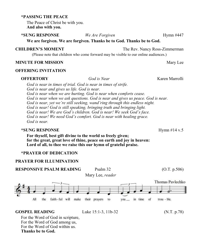#### **\*PASSING THE PEACE**

The Peace of Christ be with you. **And also with you.**

## **\*SUNG RESPONSE** *We Are Forgiven* Hymn #447

**We are forgiven. We are forgiven. Thanks be to God. Thanks be to God.** 

#### **CHILDREN'S MOMENT** The Rev. Nancy Ross-Zimmerman

(Please note that children who come forward may be visible to our online audiences.)

#### **MINUTE FOR MISSION** Mary Lee

#### **OFFERING INVITATION**

#### **OFFERTORY** *God is Near* Karen Marrolli

*God is near in times of trial. God is near in times of strife. God is near and gives us life. God is near. God is near when we are hurting. God is near when comforts cease. God is near when we ask questions. God is near and gives us peace. God is near. God is near, yet we're still seeking, wand'ring through this endless night. God is near! God is still speaking, bringing truth and bringing light. God is near! We are God's children. God is near! We seek God's face. God is near! We need God's comfort. God is near with healing grace. God is near.*

#### **\*SUNG RESPONSE** Hymn #14 v.5

**For thyself, best gift divine to the world so freely given; for the great, great love of thine, peace on earth and joy in heaven: Lord of all, to thee we raise this our hymn of grateful praise.**

#### **\*PRAYER OF DEDICATION**

#### **PRAYER FOR ILLUMINATION**



#### **GOSPEL READING** Luke 15:1-3, 11b-32 (N.T. p.78)

For the Word of God in scripture, For the Word of God among us, For the Word of God within us. **Thanks be to God.**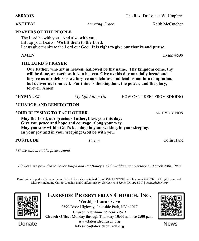**ANTHEM** *Amazing Grace* Keith McCutchen

## **PRAYERS OF THE PEOPLE**

The Lord be with you. **And also with you.** Lift up your hearts. **We lift them to the Lord.** Let us give thanks to the Lord our God. **It is right to give our thanks and praise.**

## **AMEN** Hymn #599

## **THE LORD'S PRAYER**

**Our Father, who art in heaven, hallowed be thy name. Thy kingdom come, thy will be done, on earth as it is in heaven. Give us this day our daily bread and forgive us our debts as we forgive our debtors, and lead us not into temptation, but deliver us from evil. For thine is the kingdom, the power, and the glory, forever. Amen.**

**\*HYMN #821** *My Life Flows On* HOW CAN I KEEP FROM SINGING

## **\*CHARGE AND BENEDICTION**

### **\*OUR BLESSING TO EACH OTHER** AR HYD Y NOS

**May the Lord, our gracious Father, bless you this day; Give you peace and hope and courage, along your way. May you stay within God's keeping, in your waking, in your sleeping. In your joy and in your weeping: God be with you.**

**POSTLUDE** *Paean* Colin Hand

*\*Those who are able, please stand*

*Flowers are provided to honor Ralph and Pat Bailey's 69th wedding anniversary on March 28th, 1953*

Permission to podcast/stream the music in this service obtained from ONE LICENSE with license #A-715941. All rights reserved. Liturgy (including Call to Worship and Confession) by *Sarah Are A Sanctified Art LLC | sanctifiedart.org*



Donate

**Lakeside Presbyterian Church, Inc. Worship · Learn · Serve** 2690 Dixie Highway, Lakeside Park, KY 41017 **Church telephone** 859-341-1963 **Church Office:** Monday through Thursday **10:00 a.m. to 2:00 p.m. www.lakesidechurch.org lakeside@lakesidechurch.org**



News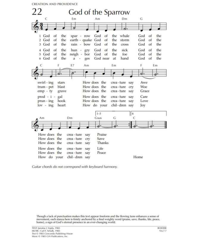**CREATION AND PROVIDENCE** 



Guitar chords do not correspond with keyboard harmony.

Though a lack of punctuation makes this text appear freeform and the flowing tune enhances a sense of movement, each stanza here is firmly anchored by a final weighty word (praise, save, thanks, life, peace, home), a sign of God's eternal presence in an ever-changing world.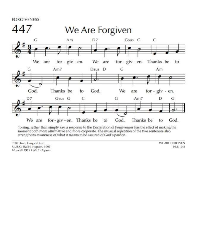**FORGIVENESS** 



To sing, rather than simply say, a response to the Declaration of Forgiveness has the effect of making the moment both more affirmative and more corporate. The musical repetition of the two sentences also strengthens awareness of what it means to be assured of God's pardon.

TEXT: Trad. liturgical text MUSIC: Hal H. Hopson, 1995 Music @ 1995 Hal H. Hopson WE ARE FORGIVEN 10.8.10.8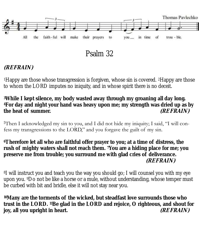

## **(REFRAIN)**

<sup>1</sup>Happy are those whose transgression is forgiven, whose sin is covered. 2Happy are those to whom the LORD imputes no iniquity, and in whose spirit there is no deceit.

**<sup>3</sup>While I kept silence, my body wasted away through my groaning all day long. <sup>4</sup>For day and night your hand was heavy upon me; my strength was dried up as by the heat of summer. (REFRAIN)**

5Then I acknowledged my sin to you, and I did not hide my iniquity; I said, "I will confess my transgressions to the LORD," and you forgave the guilt of my sin.

**<sup>6</sup>Therefore let all who are faithful offer prayer to you; at a time of distress, the rush of mighty waters shall not reach them. 7You are a hiding place for me; you preserve me from trouble; you surround me with glad cries of deliverance. (REFRAIN)**

<sup>8</sup>I will instruct you and teach you the way you should go; I will counsel you with my eye upon you. 9Do not be like a horse or a mule, without understanding, whose temper must be curbed with bit and bridle, else it will not stay near you.

**<sup>10</sup>Many are the torments of the wicked, but steadfast love surrounds those who trust in the LORD. 11Be glad in the LORD and rejoice, O righteous, and shout for joy, all you upright in heart. (REFRAIN)**